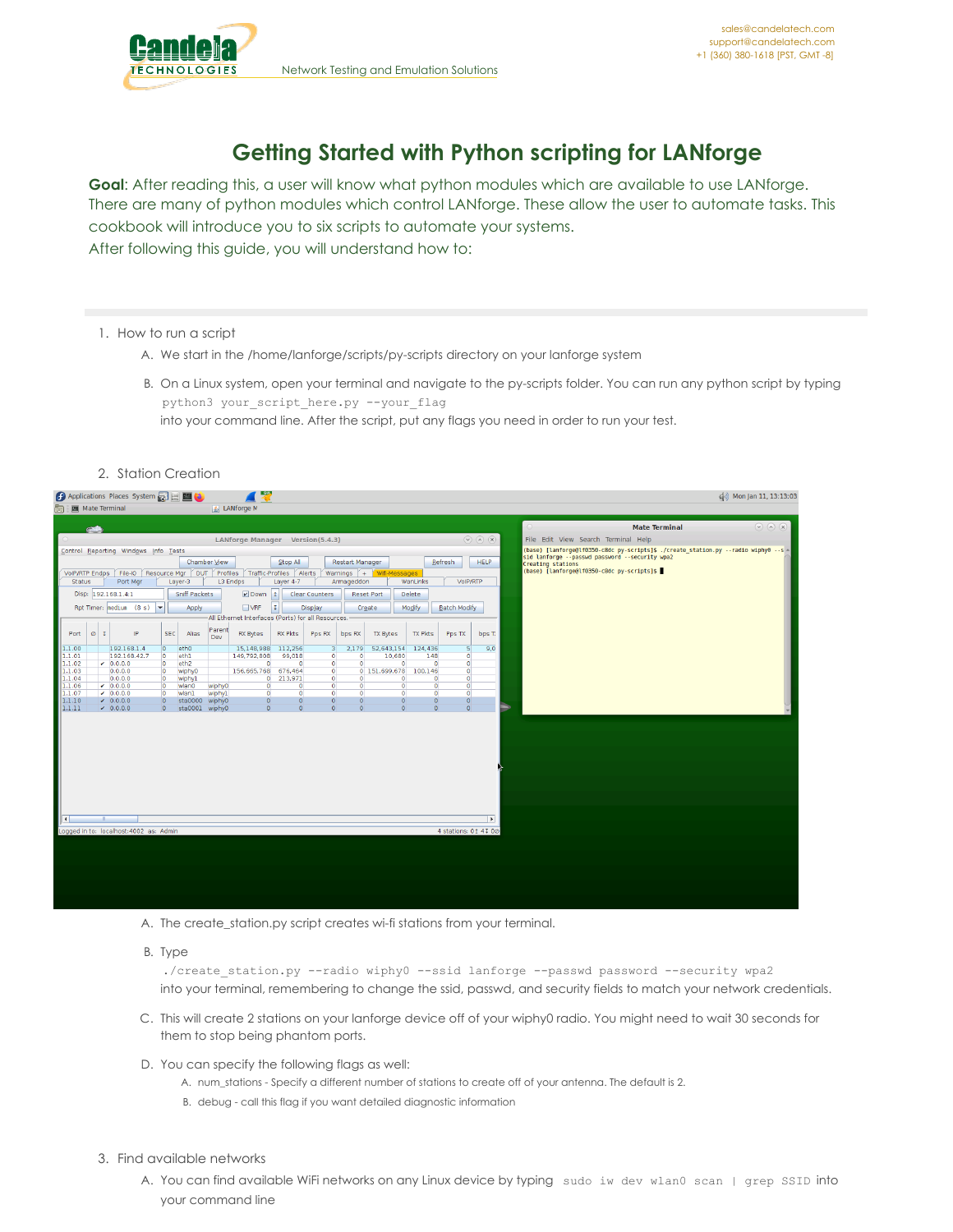

# **Getting Started with Python scripting for LANforge**

**Goal**: After reading this, a user will know what python modules which are available to use LANforge. There are many of python modules which control LANforge. These allow the user to automate tasks. This cookbook will introduce you to six scripts to automate your systems. After following this guide, you will understand how to:

## 1. How to run a script

- A. We start in the /home/lanforge/scripts/py-scripts directory on your lanforge system
- B. On a Linux system, open your terminal and navigate to the py-scripts folder. You can run any python script by typing python3 your\_script\_here.py --your\_flag into your command line. After the script, put any flags you need in order to run your test.
- 2. Station Creation

| 墨<br>Applications Places System <b>All Executive</b>                                                                           |                                                                                                                 | (a) Mon Jan 11, 13:13:03                                                                        |
|--------------------------------------------------------------------------------------------------------------------------------|-----------------------------------------------------------------------------------------------------------------|-------------------------------------------------------------------------------------------------|
| LANforge M<br>图 Mate Terminal                                                                                                  |                                                                                                                 |                                                                                                 |
|                                                                                                                                |                                                                                                                 | $\odot$ (a) (x)<br><b>Mate Terminal</b>                                                         |
|                                                                                                                                | LANforge Manager Version(5.4.3)                                                                                 | $\odot \odot \odot \odot$<br>File Edit View Search Terminal Help                                |
| Control Reporting Windows Info Tests                                                                                           |                                                                                                                 | (base) [lanforge@lf0350-c8dc py-scripts]\$ ./create station.py --radio wiphy0 --s -             |
| Chamber View                                                                                                                   | Stop All<br>Restart Manager                                                                                     | sid lanforge -- passwd password -- security wpa2<br>Refresh<br><b>HELP</b><br>Creating stations |
| File-IO Resource Mgr DUT Profiles Traffic-Profiles Alerts Warnings + Wifi-Messages<br>VolP/RTP Endps                           |                                                                                                                 | (base) [lanforge@lf0350-c8dc py-scripts]\$                                                      |
| L3 Endps<br>Port Mgr<br>Layer-3<br><b>Status</b>                                                                               | Armageddon<br>Layer 4-7<br>WanLinks                                                                             | VoIP/RTP                                                                                        |
| $\nu$ Down 1<br>Disp: 192.168.1.4:1<br>Sniff Packets                                                                           | <b>Clear Counters</b><br>Delete<br><b>Reset Port</b>                                                            |                                                                                                 |
| Rpt Timer: nedium (8 s)<br>$\Box$ VRF<br>$\mathbf{L}$<br>Apply                                                                 | II.<br>Modify<br><b>Display</b><br>Create                                                                       | Batch Modify                                                                                    |
|                                                                                                                                | All Ethernet Interfaces (Ports) for all Resources.                                                              |                                                                                                 |
| Parent<br>IP<br><b>SEC</b><br>Port<br>$\circ$ I<br>Alias<br><b>RX Bytes</b><br>Dev                                             | <b>RX Pkts</b><br><b>TX Pkts</b><br>Pps RX<br>bps RX<br><b>TX Bytes</b>                                         | Pps TX<br>bps T.                                                                                |
| 1.1.00<br>192.168.1.4<br>etho<br>15,148,988<br>$\overline{0}$                                                                  | 112.256<br>52,643,154<br>124,436<br>2,179<br>з                                                                  | 5<br>9,0                                                                                        |
| 1.1.01<br>192.168.42.7<br>$\circ$<br>eth1<br>149,792,808<br>  1.1.02<br>$-0.0.0.0$<br>$\circ$<br>eth <sub>2</sub><br>$\circ$   | 10,680<br>99.018<br>148<br>$\circ$<br>$\Omega$<br>$\Omega$<br>$\bullet$<br>$\circ$<br>$\circ$<br>$\circ$        | $\Omega$<br>$\circ$                                                                             |
| 1.1.03<br>0.0.0.0<br>156,665,768<br>$\circ$<br>wiphy0                                                                          | 676,464<br>$\overline{0}$<br>0 151,699,678<br>100,146                                                           | $\bullet$                                                                                       |
| 1.1.04<br>0.0.0.0<br>$\overline{0}$<br>wiphy1<br>$\circ$                                                                       | 213,971<br>$\bullet$<br>$\circ$<br>$\bullet$<br>$\circ$                                                         | $\circ$                                                                                         |
| 1.1.06<br>$-0.0.0.0$<br>$\circ$<br>wlan0<br>wiphy0<br>$\circ$<br>1.1.07<br>$-0.0.0.0$<br>wiphyl<br>$\circ$<br>$\circ$<br>wlanl | $\bullet$<br>$\circ$<br>$\Omega$<br>$\circ$<br>$\circ$<br>$\bullet$<br>$\circ$<br>$\circ$<br>$\circ$<br>$\circ$ | $\circ$<br>$\circ$                                                                              |
| 1.1.10<br>$\sqrt{0.0.0.0}$<br>$\overline{0}$<br>sta0000<br>wiphy0<br>$\overline{0}$                                            | $\overline{0}$<br>$\overline{0}$<br>$\circ$<br>$\mathbf{O}$<br>$\Omega$                                         | $\overline{0}$                                                                                  |
| 1.1.11 <br>$-0.0.0.0$<br>sta0001 wiphy0<br>$\overline{0}$<br>$\overline{0}$                                                    | $\overline{0}$<br>$\overline{0}$<br>$\Omega$<br>$\overline{O}$<br>$\Omega$                                      | $\overline{0}$                                                                                  |
| Logged in to: localhost: 4002 as: Admin                                                                                        |                                                                                                                 | l ki<br>4 stations: 01 41 00                                                                    |
|                                                                                                                                |                                                                                                                 |                                                                                                 |
|                                                                                                                                |                                                                                                                 |                                                                                                 |
|                                                                                                                                |                                                                                                                 |                                                                                                 |
|                                                                                                                                |                                                                                                                 |                                                                                                 |
|                                                                                                                                |                                                                                                                 |                                                                                                 |
|                                                                                                                                |                                                                                                                 |                                                                                                 |

- A. The create\_station.py script creates wi-fi stations from your terminal.
- B. Type

./create station.py --radio wiphy0 --ssid lanforge --passwd password --security wpa2 into your terminal, remembering to change the ssid, passwd, and security fields to match your network credentials.

- C. This will create 2 stations on your lanforge device off of your wiphy0 radio. You might need to wait 30 seconds for them to stop being phantom ports.
- D. You can specify the following flags as well:
	- A. num\_stations Specify a different number of stations to create off of your antenna. The default is 2.
	- B. debug call this flag if you want detailed diagnostic information

## 3. Find available networks

A. You can find available WiFi networks on any Linux device by typing sudo iw dev wlan0 scan | grep SSID into your command line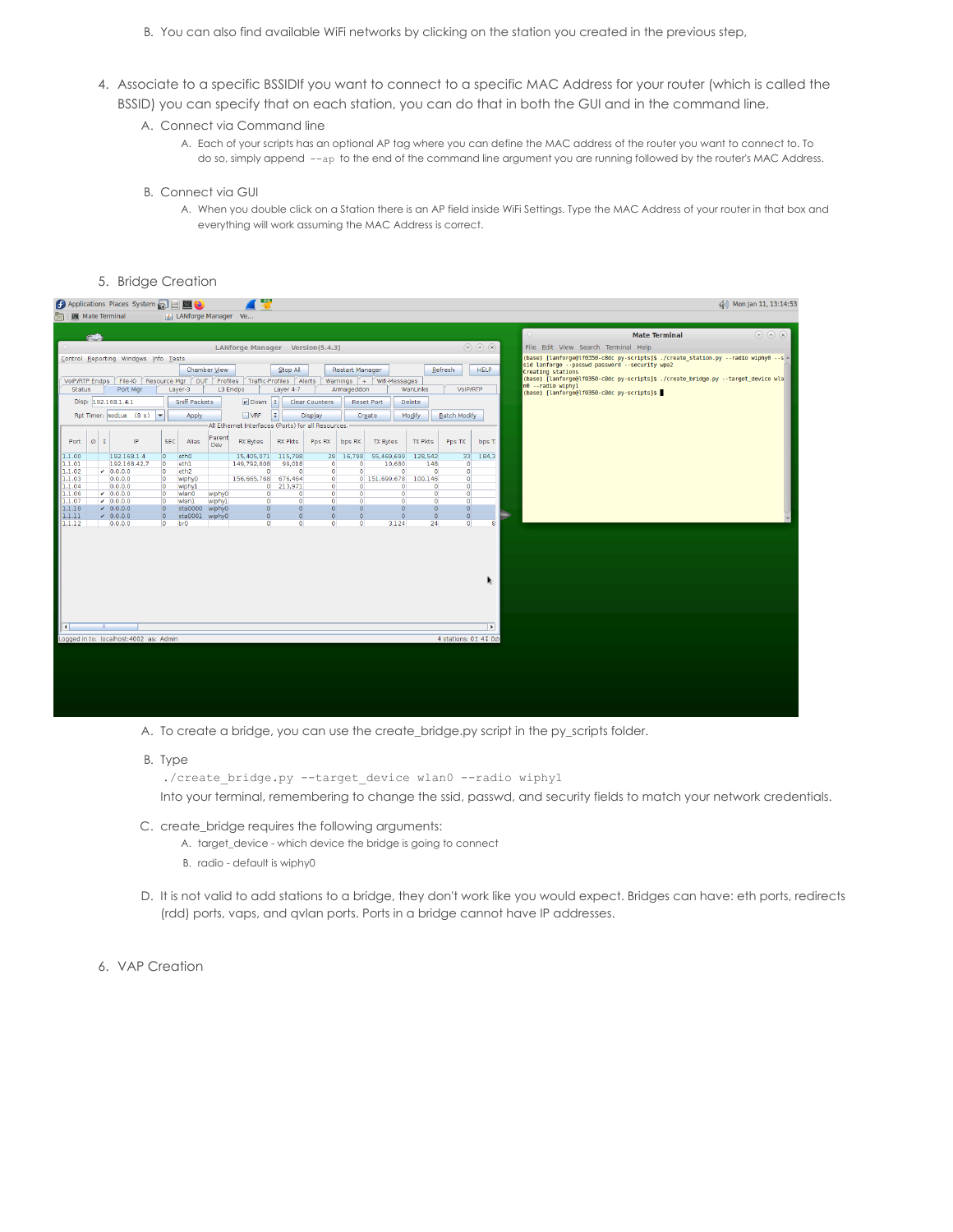- B. You can also find available WiFi networks by clicking on the station you created in the previous step,
- 4. Associate to a specific BSSIDIf you want to connect to a specific MAC Address for your router (which is called the BSSID) you can specify that on each station, you can do that in both the GUI and in the command line.
	- A. Connect via Command line
		- A. Each of your scripts has an optional AP tag where you can define the MAC address of the router you want to connect to. To do so, simply append --ap to the end of the command line argument you are running followed by the router's MAC Address.
	- B. Connect via GUI
		- A. When you double click on a Station there is an AP field inside WiFi Settings. Type the MAC Address of your router in that box and everything will work assuming the MAC Address is correct.
- 5. Bridge Creation

|                     |           | Applications Places System <b>All ED</b>     |                           |                            |              | 學                                                  |                    |                        |                 |                            |                |                                    |                           | (3) Mon Jan 11, 13:14:53                                                            |
|---------------------|-----------|----------------------------------------------|---------------------------|----------------------------|--------------|----------------------------------------------------|--------------------|------------------------|-----------------|----------------------------|----------------|------------------------------------|---------------------------|-------------------------------------------------------------------------------------|
|                     |           | Mate Terminal                                |                           | ANforge Manager Ve         |              |                                                    |                    |                        |                 |                            |                |                                    |                           |                                                                                     |
|                     |           |                                              |                           |                            |              |                                                    |                    |                        |                 |                            |                |                                    |                           |                                                                                     |
|                     |           |                                              |                           |                            |              |                                                    |                    |                        |                 |                            |                |                                    |                           | $(\sqrt{2})$ $(\sqrt{2})$<br><b>Mate Terminal</b>                                   |
|                     |           |                                              |                           |                            |              | LANforge Manager Version(5.4.3)                    |                    |                        |                 |                            |                |                                    | $\odot \odot \odot \odot$ | File Edit View Search Terminal Help                                                 |
|                     |           | Control Reporting Windows Info Tests         |                           |                            |              |                                                    |                    |                        |                 |                            |                |                                    |                           | (base) [lanforge@lf0350-c8dc py-scripts]\$ ./create station.py --radio wiphy0 --s - |
|                     |           |                                              |                           |                            | Chamber View |                                                    | Stop All           |                        | Restart Manager |                            |                | Refresh                            | <b>HELP</b>               | sid lanforge -- passwd password -- security wpa2<br>Creating stations               |
|                     |           | VolP/RTP Endps   File-IO                     |                           |                            |              | Resource Mgr DUT Profiles Traffic-Profiles Alerts  |                    |                        |                 | Warnings + Wifi-Messages   |                |                                    |                           | (base) [lanforge@lf0350-c8dc py-scripts]\$ ./create bridge.py --target device wla   |
| <b>Status</b>       |           | Port Mar                                     |                           | Layer-3                    |              | L3 Endps                                           | Layer 4-7          |                        | Armageddon      |                            | WanLinks       | VoIP/RTP                           |                           | n0 -- radio wiphyl<br>(base) [lanforge@lf0350-c8dc py-scripts]\$                    |
|                     |           | Disp: 192.168.1.4:1                          |                           | Sniff Packets              |              | $\nu$ Down 1                                       |                    | Clear Counters         |                 | <b>Reset Port</b>          | Delete         |                                    |                           |                                                                                     |
|                     |           | Rpt Timer: nediun (8 s) $\blacktriangledown$ |                           | Apply                      |              | $\Box$ VRF                                         | II.                | Display                |                 | Create                     | Modify         | <b>Batch Modify</b>                |                           |                                                                                     |
|                     |           |                                              |                           |                            |              | All Ethernet Interfaces (Ports) for all Resources. |                    |                        |                 |                            |                |                                    |                           |                                                                                     |
|                     |           |                                              |                           |                            | Parent       |                                                    |                    |                        |                 |                            |                |                                    |                           |                                                                                     |
| Port                | $\circ$ I | IP                                           | SEC                       | Alias                      | Dev          | <b>RX Bytes</b>                                    | <b>RX Pkts</b>     | Pps RX                 | bps RX          | <b>TX Bytes</b>            | <b>TX Pkts</b> | Pps TX                             | bps T.                    |                                                                                     |
| 1.1.00              |           | 192.168.1.4                                  | $\overline{0}$            | eth <sub>0</sub>           |              | 15,405,071                                         | 115,798            | 29                     | 16,798          | 55,469,699                 | 128,542        | 33 <sup>1</sup>                    | 184.3                     |                                                                                     |
| 1.1.01              |           | 192.168.42.7                                 | $\circ$                   | eth1                       |              | 149,792,808                                        | 99,018<br>$\Omega$ | $\circ$                | $\bullet$       | 10,680                     | 148            | $\bullet$                          |                           |                                                                                     |
| 1.1.02<br>1.1.03    |           | $-0.0.0.0$<br>0.0.0.0                        | $\overline{0}$<br>$\circ$ | eth <sub>2</sub><br>wiphy0 |              | $\overline{0}$<br>156,665,768                      | 676.464            | $\bullet$<br>$\bullet$ | $\bullet$       | $\bullet$<br>0 151,699,678 | 100.146        | $\bullet$<br>$\bullet$<br>$\Omega$ |                           |                                                                                     |
| 1.1.04              |           | 0.0.0.0                                      | $\circ$                   | wiphyl                     |              | $\circ$                                            | 213.971            | $\circ$                | $\circ$         | $\mathbf{O}$               |                | $\mathbf{O}$<br>$\mathbf{O}$       |                           |                                                                                     |
| 1.1.06              |           | $-0.0.0.0$                                   | $\circ$                   | wlan0                      | wiphy0       | $\bullet$                                          | $\circ$            | $\overline{0}$         | $\overline{0}$  | $\overline{0}$             |                | $\overline{0}$<br>$\bullet$        |                           |                                                                                     |
| 1.1.07              |           | $-0.0.0.0$                                   | $\overline{0}$            | wlan1                      | wiphy1       | $\overline{0}$                                     | $\circ$            | $\overline{0}$         | $\circ$         | $\bullet$                  |                | $\bullet$<br>$\bullet$             |                           |                                                                                     |
| 1.1.10              |           | $-0.0.0.0$                                   | $\overline{0}$            | sta0000 wiphy0             |              | $\Omega$                                           | $\circ$            | $\circ$                | $\circ$         | $\circ$                    |                | $\overline{0}$<br>$\overline{0}$   |                           |                                                                                     |
| 1.1.11              |           | $\angle$ 0.0.0.0                             | $\circ$                   | sta0001                    | wiphy0       | $\Omega$                                           | $\overline{0}$     | $\Omega$               | $\Omega$        | $\mathbf{0}$               |                | $\overline{0}$<br>$\overline{0}$   |                           |                                                                                     |
| 1.1.12              |           | 0.0.0.0                                      | $\circ$                   | br <sub>0</sub>            |              | $\overline{0}$                                     | $\overline{0}$     | $\overline{0}$         | $\bullet$       | 3,124                      | 24             | $\overline{0}$                     | 8                         |                                                                                     |
|                     |           |                                              |                           |                            |              |                                                    |                    |                        |                 |                            |                |                                    | R.                        |                                                                                     |
| $\vert \cdot \vert$ |           |                                              |                           |                            |              |                                                    |                    |                        |                 |                            |                |                                    | $\rightarrow$             |                                                                                     |
|                     |           | Logged in to: localhost: 4002 as: Admin      |                           |                            |              |                                                    |                    |                        |                 |                            |                | 4 stations: 01 41 00               |                           |                                                                                     |
|                     |           |                                              |                           |                            |              |                                                    |                    |                        |                 |                            |                |                                    |                           |                                                                                     |
|                     |           |                                              |                           |                            |              |                                                    |                    |                        |                 |                            |                |                                    |                           |                                                                                     |
|                     |           |                                              |                           |                            |              |                                                    |                    |                        |                 |                            |                |                                    |                           |                                                                                     |
|                     |           |                                              |                           |                            |              |                                                    |                    |                        |                 |                            |                |                                    |                           |                                                                                     |
|                     |           |                                              |                           |                            |              |                                                    |                    |                        |                 |                            |                |                                    |                           |                                                                                     |
|                     |           |                                              |                           |                            |              |                                                    |                    |                        |                 |                            |                |                                    |                           |                                                                                     |
|                     |           |                                              |                           |                            |              |                                                    |                    |                        |                 |                            |                |                                    |                           |                                                                                     |

- A. To create a bridge, you can use the create\_bridge.py script in the py\_scripts folder.
- B. Type

```
./create_bridge.py --target_device wlan0 --radio wiphy1
```
Into your terminal, remembering to change the ssid, passwd, and security fields to match your network credentials.

- C. create\_bridge requires the following arguments:
	- A. target\_device which device the bridge is going to connect
	- B. radio default is wiphy0
- D. It is not valid to add stations to a bridge, they don't work like you would expect. Bridges can have: eth ports, redirects (rdd) ports, vaps, and qvlan ports. Ports in a bridge cannot have IP addresses.
- 6. VAP Creation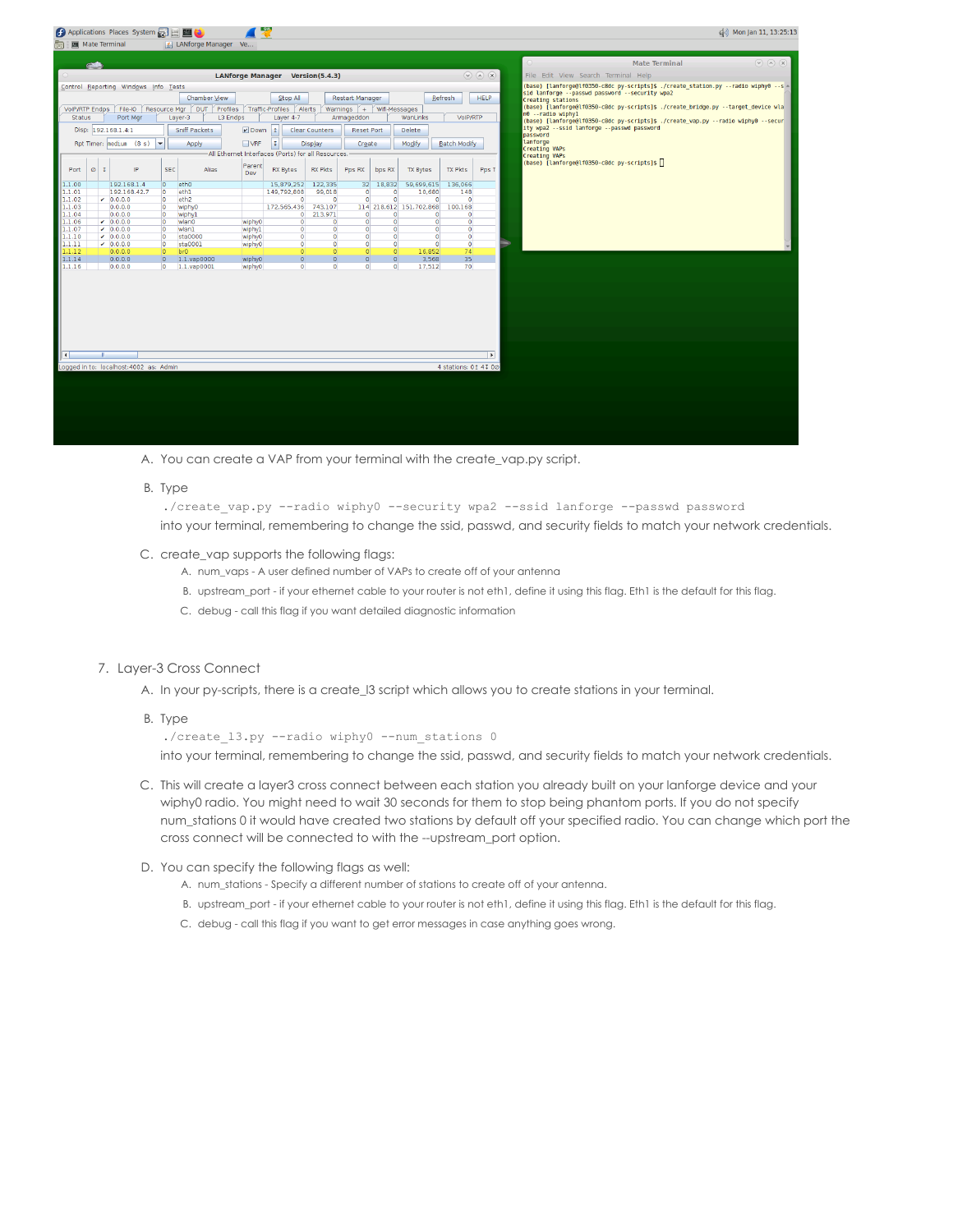|                     | Applications Places System |                                         |                          |                                  |                                                                     |                  |                                                    |                            |                          |                |                         |                      |                         |          | do) Mon Jan 11, 13:25:13                                                                                |                 |
|---------------------|----------------------------|-----------------------------------------|--------------------------|----------------------------------|---------------------------------------------------------------------|------------------|----------------------------------------------------|----------------------------|--------------------------|----------------|-------------------------|----------------------|-------------------------|----------|---------------------------------------------------------------------------------------------------------|-----------------|
|                     |                            | <b>Mate Terminal</b>                    |                          |                                  | ANforge Manager Ve                                                  |                  |                                                    |                            |                          |                |                         |                      |                         |          |                                                                                                         |                 |
|                     | <b>GMB</b>                 |                                         |                          |                                  |                                                                     |                  |                                                    |                            |                          |                |                         |                      |                         | $\circ$  | <b>Mate Terminal</b>                                                                                    | $\odot$ (a) (x) |
|                     |                            |                                         |                          |                                  |                                                                     |                  | <b>LANforge Manager Version(5.4.3)</b>             |                            |                          |                |                         |                      | $\odot$ $\odot$ $\odot$ |          | File Edit View Search Terminal Help                                                                     |                 |
|                     |                            | Control Reporting Windows Info Tests    |                          |                                  |                                                                     |                  |                                                    |                            |                          |                |                         |                      |                         |          | (base) [lanforge@lf@350-c8dc py-scripts]\$ ./create station.py --radio wiphy0 --s -                     |                 |
|                     |                            |                                         |                          |                                  | Chamber View                                                        |                  | Stop All                                           |                            | Restart Manager          |                |                         | Refresh              | <b>HELP</b>             |          | sid lanforge --passwd password --security wpa2<br>Creating stations                                     |                 |
| VolP/RTP Endps      |                            |                                         |                          |                                  | File-IO   Resource Mgr   DUT   Profiles   Traffic-Profiles   Alerts |                  |                                                    |                            | Warnings + Wifi-Messages |                |                         |                      |                         |          | (base) [lanforge@lf0350-c8dc py-scripts]\$ ./create_bridge.py --target_device_wla                       |                 |
| <b>Status</b>       |                            | Port Mgr                                |                          |                                  | Laver-3<br>L3 Endps                                                 |                  | Layer 4-7                                          |                            | Armageddon               |                | WanLinks                | VoIP/RTP             |                         |          | n0 -- radio wiphyl<br>(base) [lanforge@lf0350-c8dc py-scripts]\$ ./create vap.py --radio wiphy0 --secur |                 |
|                     |                            | Disp: 192.168.1.4:1                     |                          |                                  | Sniff Packets                                                       | Down             | I±                                                 | <b>Clear Counters</b>      | <b>Reset Port</b>        |                | <b>Delete</b>           |                      |                         | password | ity wpa2 --ssid lanforge --passwd password                                                              |                 |
|                     |                            | Rpt Timer: nedium (8 s)                 | $\overline{\phantom{a}}$ |                                  | Apply                                                               | $\Box$ VRF       | II.                                                | Display                    | Create                   |                | Modify                  | Batch Modify         |                         | lanforge |                                                                                                         |                 |
|                     |                            |                                         |                          |                                  |                                                                     |                  | All Ethernet Interfaces (Ports) for all Resources. |                            |                          |                |                         |                      |                         |          | Creating VAPs<br><b>Creating VAPs</b>                                                                   |                 |
| Port                | $\circ$ I                  | IP                                      |                          | <b>SEC</b>                       | Alias                                                               | Parent<br>Dev    | <b>RX Bytes</b>                                    | <b>RX Pkts</b>             | Pps RX                   | bps RX         | <b>TX Bytes</b>         | <b>TX Pkts</b>       | Pps T                   |          | (base) [lanforge@lf0350-c8dc py-scripts]\$                                                              |                 |
| 1.1.00              |                            | 192.168.1.4                             |                          | lo.                              | etho                                                                |                  | 15,879,252                                         | 122.335                    |                          | 32 18.832      | 59,699,615              | 136,066              |                         |          |                                                                                                         |                 |
| 1.1.01              |                            | 192.168.42.7                            |                          | $\circ$                          | eth1                                                                |                  | 149.792.808                                        | 99.018                     | $\Omega$                 | $\Omega$       | 10,680                  | 148                  |                         |          |                                                                                                         |                 |
| 1.1.02              |                            | $-0.0.0.0$                              |                          | $\circ$                          | eth <sub>2</sub>                                                    |                  | $\Omega$                                           | $\Omega$                   | $\Omega$                 | $\Omega$       | $\mathbf{0}$            | $\circ$              |                         |          |                                                                                                         |                 |
| 1.1.03              |                            | 0.0.0.0                                 |                          | $\circ$                          | wiphy0                                                              |                  | 172,565,436                                        | 743,107                    |                          |                | 114 218,612 151,702,868 | 100,168              |                         |          |                                                                                                         |                 |
| 1.1.04              |                            | 0.0.0.0                                 |                          | $\circ$                          | wiphy1                                                              |                  | $\circ$                                            | 213.971                    | $\bullet$                | $\overline{0}$ | $\Omega$                | $\circ$              |                         |          |                                                                                                         |                 |
| 1.1.06              |                            | $-0.0.0.0$                              |                          | $\circ$                          | wlan0                                                               | wiphy0           | $\bullet$                                          | $\circ$                    | $\overline{0}$           | $\circ$        | $\circ$                 | $\circ$              |                         |          |                                                                                                         |                 |
| 1.1.07              |                            | $-0.0.0.0$                              |                          | $\overline{\mathbf{0}}$          | wlanl                                                               | wiphyl           | $\Omega$                                           | $\circ$                    | $\circ$                  | $\circ$        | $\Omega$                | $\circ$              |                         |          |                                                                                                         |                 |
| 1.1.10              |                            | $-0.0.0.0$                              |                          | $\circ$                          | sta0000                                                             | wiphy0           | $\overline{0}$                                     | $\overline{0}$             | $\Omega$                 | $\overline{0}$ | $\Omega$<br>$\Omega$    | $\circ$              |                         |          |                                                                                                         |                 |
| 1.1.11<br>1.1.12    |                            | $-0.0.0.0$<br>0.0.0.0                   |                          | $\overline{0}$<br>$\overline{0}$ | sta0001<br>bro                                                      | wiphy0           | $\circ$<br>$\Omega$                                | $\overline{0}$<br>$\Omega$ | $\circ$<br>$\Omega$      | $\circ$<br> 0  | 16,852                  | $\circ$<br>74        |                         |          |                                                                                                         |                 |
|                     |                            | 0.0.0.0                                 |                          | $\overline{0}$                   |                                                                     |                  | $\overline{0}$                                     | $\overline{0}$             | $\Omega$                 | $\overline{0}$ | 3,568                   | 35                   |                         |          |                                                                                                         |                 |
| 1.1.14<br>1.1.16    |                            | 0.0.0.0                                 |                          | $\circ$                          | 1.1.vap0000<br>1.1.vap0001                                          | wiphy0<br>wiphy0 | $\bullet$                                          | $\overline{0}$             | $\overline{0}$           | $\overline{0}$ | 17,512                  | 70                   |                         |          |                                                                                                         |                 |
|                     |                            |                                         |                          |                                  |                                                                     |                  |                                                    |                            |                          |                |                         |                      |                         |          |                                                                                                         |                 |
| $\vert \cdot \vert$ |                            |                                         |                          |                                  |                                                                     |                  |                                                    |                            |                          |                |                         |                      | $\rightarrow$           |          |                                                                                                         |                 |
|                     |                            |                                         |                          |                                  |                                                                     |                  |                                                    |                            |                          |                |                         |                      |                         |          |                                                                                                         |                 |
|                     |                            | Logged in to: localhost: 4002 as: Admin |                          |                                  |                                                                     |                  |                                                    |                            |                          |                |                         | 4 stations: 01 41 00 |                         |          |                                                                                                         |                 |
|                     |                            |                                         |                          |                                  |                                                                     |                  |                                                    |                            |                          |                |                         |                      |                         |          |                                                                                                         |                 |
|                     |                            |                                         |                          |                                  |                                                                     |                  |                                                    |                            |                          |                |                         |                      |                         |          |                                                                                                         |                 |
|                     |                            |                                         |                          |                                  |                                                                     |                  |                                                    |                            |                          |                |                         |                      |                         |          |                                                                                                         |                 |
|                     |                            |                                         |                          |                                  |                                                                     |                  |                                                    |                            |                          |                |                         |                      |                         |          |                                                                                                         |                 |
|                     |                            |                                         |                          |                                  |                                                                     |                  |                                                    |                            |                          |                |                         |                      |                         |          |                                                                                                         |                 |
|                     |                            |                                         |                          |                                  |                                                                     |                  |                                                    |                            |                          |                |                         |                      |                         |          |                                                                                                         |                 |
|                     |                            |                                         |                          |                                  |                                                                     |                  |                                                    |                            |                          |                |                         |                      |                         |          |                                                                                                         |                 |

A. You can create a VAP from your terminal with the create\_vap.py script.

#### B. Type

./create vap.py --radio wiphy0 --security wpa2 --ssid lanforge --passwd password into your terminal, remembering to change the ssid, passwd, and security fields to match your network credentials.

- C. create\_vap supports the following flags:
	- A. num vaps A user defined number of VAPs to create off of your antenna
	- B. upstream\_port if your ethernet cable to your router is not eth1, define it using this flag. Eth1 is the default for this flag.
	- C. debug call this flag if you want detailed diagnostic information

## 7. Layer-3 Cross Connect

- A. In your py-scripts, there is a create\_l3 script which allows you to create stations in your terminal.
- B. Type

./create\_l3.py --radio wiphy0 --num\_stations 0

into your terminal, remembering to change the ssid, passwd, and security fields to match your network credentials.

C. This will create a layer3 cross connect between each station you already built on your lanforge device and your wiphy0 radio. You might need to wait 30 seconds for them to stop being phantom ports. If you do not specify num\_stations 0 it would have created two stations by default off your specified radio. You can change which port the cross connect will be connected to with the --upstream\_port option.

## D. You can specify the following flags as well:

- A. num stations Specify a different number of stations to create off of your antenna.
- B. upstream\_port if your ethernet cable to your router is not eth1, define it using this flag. Eth1 is the default for this flag.
- C. debug call this flag if you want to get error messages in case anything goes wrong.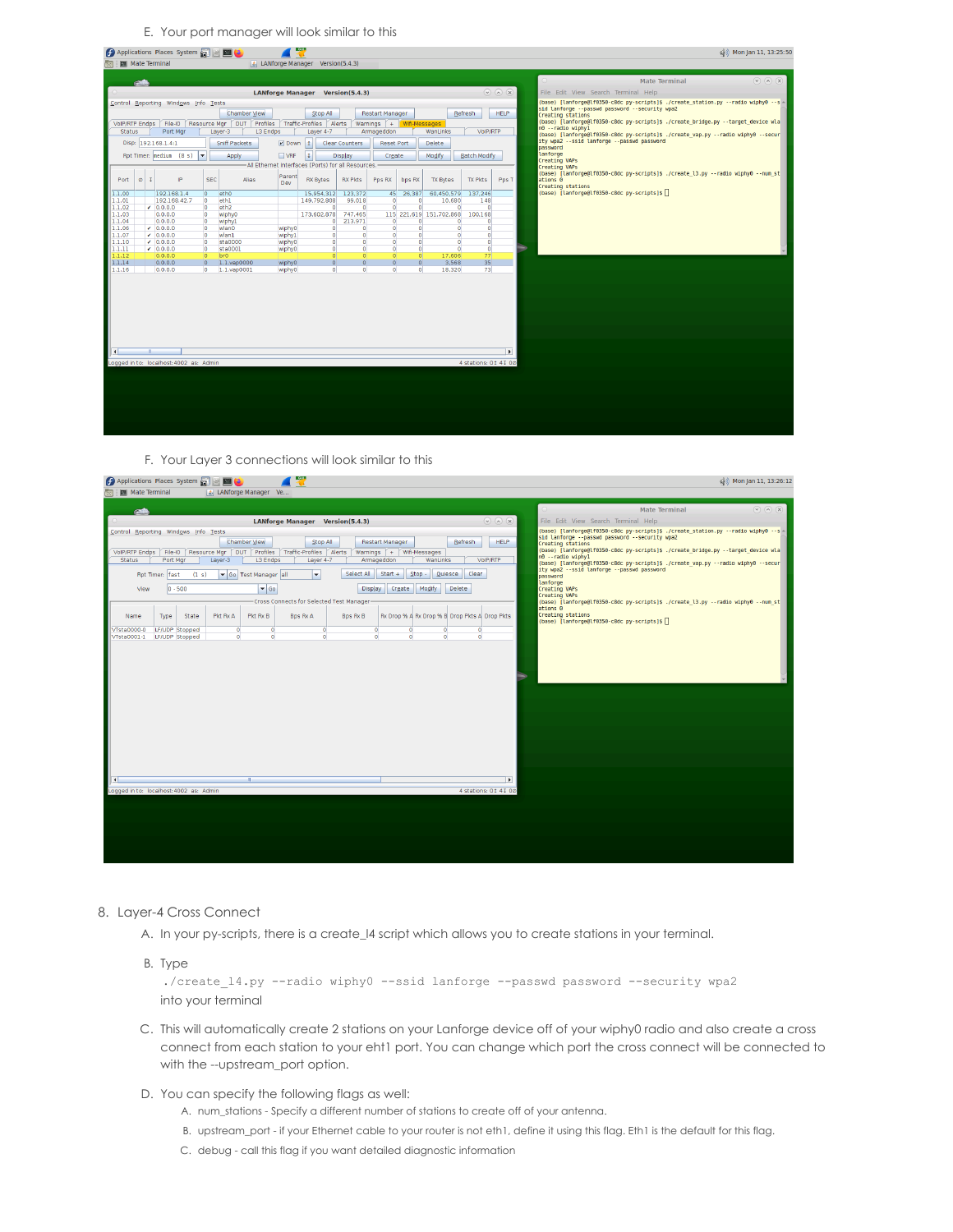E. Your port manager will look similar to this

|                  |         |   | Applications Places System and EL            |                                  |                                                   |          | டவுட       |                                                    |                            |                             |          |                                      |                                  |                       | (3) Mon Jan 11, 13:25:50                                                                                                        |
|------------------|---------|---|----------------------------------------------|----------------------------------|---------------------------------------------------|----------|------------|----------------------------------------------------|----------------------------|-----------------------------|----------|--------------------------------------|----------------------------------|-----------------------|---------------------------------------------------------------------------------------------------------------------------------|
|                  |         |   | <b>Mate Terminal</b>                         |                                  |                                                   |          |            | <b>4.</b> LANforge Manager Version(5.4.3)          |                            |                             |          |                                      |                                  |                       |                                                                                                                                 |
|                  |         |   |                                              |                                  |                                                   |          |            |                                                    |                            |                             |          |                                      |                                  |                       |                                                                                                                                 |
|                  |         |   |                                              |                                  |                                                   |          |            |                                                    |                            |                             |          |                                      |                                  |                       | <b>Mate Terminal</b><br>$(\vee)$ $(\wedge)$ $(\times)$                                                                          |
|                  |         |   |                                              |                                  |                                                   |          |            | <b>LANforge Manager Version(5.4.3)</b>             |                            |                             |          |                                      |                                  | $\odot$ (a) (x)       | File Edit View Search Terminal Help                                                                                             |
|                  |         |   | Control Reporting Windows Info Tests         |                                  |                                                   |          |            |                                                    |                            |                             |          |                                      |                                  |                       | (base) [lanforge@lf0350-c8dc py-scripts]\$ ./create station.py --radio wiphy0 --s -                                             |
|                  |         |   |                                              |                                  | Chamber View                                      |          |            | Stop All                                           |                            | Restart Manager             |          |                                      | <b>Refresh</b>                   | <b>HELP</b>           | sid lanforge --passwd password --security wpa2<br>Creating stations                                                             |
| VoIP/RTP Endps   |         |   | File-IO                                      |                                  | Resource Mgr DUT Profiles Traffic-Profiles Alerts |          |            |                                                    |                            | Warnings   + Wifi-Messages  |          |                                      |                                  |                       | (base) [lanforge@lf0350-c8dc py-scripts]\$ ./create bridge.py --target device wla                                               |
| <b>Status</b>    |         |   | Port Mar                                     |                                  | Layer-3                                           | L3 Endps |            | Layer 4-7                                          |                            | Armageddon                  |          | WanLinks                             | VoIP/RTP                         |                       | n0 -- radio wiphyl                                                                                                              |
|                  |         |   | Disp: 192.168.1.4:1                          |                                  | Sniff Packets                                     |          | $ v $ Down | 1                                                  | <b>Clear Counters</b>      | <b>Reset Port</b>           |          | Delete                               |                                  |                       | (base) [lanforge@lf0350-c8dc py-scripts]\$ ./create vap.py --radio wiphy0 --secur<br>ity wpa2 --ssid lanforge --passwd password |
|                  |         |   |                                              |                                  |                                                   |          |            |                                                    |                            |                             |          |                                      |                                  |                       | password                                                                                                                        |
|                  |         |   | Rpt Timer: nediun (8 s) $\blacktriangledown$ |                                  | Apply                                             |          | NRF        | I                                                  | Display                    | Create                      |          | Modify                               | Batch Modify                     |                       | lanforge                                                                                                                        |
|                  |         |   |                                              |                                  |                                                   |          |            | All Ethernet Interfaces (Ports) for all Resources. |                            |                             |          |                                      |                                  |                       | <b>Creating VAPs</b><br><b>Creating VAPs</b>                                                                                    |
|                  |         |   |                                              |                                  |                                                   |          | Parent     |                                                    |                            |                             |          |                                      |                                  |                       | (base) [lanforge@lf0350-c8dc py-scripts]\$ ./create l3.py --radio wiphy0 --num st                                               |
| Port             | $\circ$ | τ | IP                                           | <b>SEC</b>                       | Alias                                             |          | Dev        | <b>RX Bytes</b>                                    | <b>RX Pkts</b>             | Pps RX                      | bps RX   | <b>TX Bytes</b>                      | <b>TX Pkts</b>                   | Pps T                 | ations 0<br>Creating stations                                                                                                   |
| 1.1.00           |         |   | 192.168.1.4                                  | $\overline{0}$                   | eth <sub>0</sub>                                  |          |            | 15.954.312                                         | 123.372                    | 45                          | 26.387   | 60.450.579                           | 137,246                          |                       | (base) [lanforge@lf0350-c8dc py-scripts]\$                                                                                      |
| 1.1.01           |         |   | 192.168.42.7                                 | $\circ$                          | eth1                                              |          |            | 149.792.808                                        | 99.018                     | $\bullet$                   |          | 10,680<br>$\Omega$                   | 148                              |                       |                                                                                                                                 |
| 1.1.02           |         |   | $-0.0.0.0$                                   | $\circ$                          | eth <sub>2</sub>                                  |          |            | $\bullet$                                          | $\Omega$                   | $\bullet$                   |          | $\overline{0}$                       | $\bullet$<br>$\bullet$           |                       |                                                                                                                                 |
| 1.1.03<br>1.1.04 |         |   | 0.0.0.0<br>0.0.0.0                           | $\overline{0}$<br>$\overline{0}$ | <b>wiphy0</b><br>wiphy1                           |          |            | 173,602,878                                        | 747.465<br>$0$ 213.971     | $\circ$                     |          | 115 221.619 151.702.868<br>$\bullet$ | 100,168<br>$\bullet$<br>$\Omega$ |                       |                                                                                                                                 |
| 1.1.06           |         |   | $-0.0.0.0$                                   | $\overline{0}$                   | wlan0                                             |          | wiphy0     | $\bullet$                                          | $\bullet$                  | $\bullet$                   |          | $\overline{0}$                       | $\circ$<br>$\bullet$             |                       |                                                                                                                                 |
| 1.1.07           |         |   | $-0.0.0.0$                                   | $\circ$                          | wlan1                                             |          | wiphyl     | $\bullet$                                          | $\Omega$                   | $\bullet$                   |          | $\bullet$                            | $\bullet$<br>$\overline{0}$      |                       |                                                                                                                                 |
| 1.1.10           |         |   | $-0.0.0.0$                                   | $\circ$                          | sta0000                                           |          | wiphy0     | $\Omega$                                           | $\Omega$                   | $\bullet$                   |          | $\Omega$                             | $\Omega$<br>$\bullet$            |                       |                                                                                                                                 |
| 1.1.11<br>1.1.12 |         |   | $-0.0.0.0$<br>0.0.0.0                        | $\circ$<br>$\overline{0}$        | sta0001<br>br <sub>0</sub>                        |          | wiphy0     | $\bullet$<br>$\overline{0}$                        | $\Omega$<br>$\overline{0}$ | $\bullet$<br>$\overline{0}$ |          | $\circ$<br>$\Omega$<br>17,606        | $\bullet$<br>$\bullet$<br>77     |                       |                                                                                                                                 |
| 1.1.14           |         |   | 0.0.0.0                                      | $\overline{0}$                   | 1.1.vap0000                                       |          | wiphy0     | $\Omega$                                           | $\circ$                    | $\circ$                     | $\Omega$ | 3,568                                | 35                               |                       |                                                                                                                                 |
| 1.1.16           |         |   | 0.0.0.0                                      | o                                | 1.1.vap0001                                       |          | wiphy0     | $\bullet$                                          | $\bullet$                  | $\bullet$                   |          | $\bullet$<br>18,320                  | 73                               |                       |                                                                                                                                 |
|                  |         |   |                                              |                                  |                                                   |          |            |                                                    |                            |                             |          |                                      |                                  |                       |                                                                                                                                 |
|                  |         |   |                                              |                                  |                                                   |          |            |                                                    |                            |                             |          |                                      |                                  |                       |                                                                                                                                 |
|                  |         |   |                                              |                                  |                                                   |          |            |                                                    |                            |                             |          |                                      |                                  |                       |                                                                                                                                 |
|                  |         |   |                                              |                                  |                                                   |          |            |                                                    |                            |                             |          |                                      |                                  |                       |                                                                                                                                 |
|                  |         |   |                                              |                                  |                                                   |          |            |                                                    |                            |                             |          |                                      |                                  |                       |                                                                                                                                 |
|                  |         |   |                                              |                                  |                                                   |          |            |                                                    |                            |                             |          |                                      |                                  |                       |                                                                                                                                 |
|                  |         |   |                                              |                                  |                                                   |          |            |                                                    |                            |                             |          |                                      |                                  |                       |                                                                                                                                 |
|                  |         |   |                                              |                                  |                                                   |          |            |                                                    |                            |                             |          |                                      |                                  |                       |                                                                                                                                 |
| О                |         |   |                                              |                                  |                                                   |          |            |                                                    |                            |                             |          |                                      |                                  | $\blacktriangleright$ |                                                                                                                                 |
|                  |         |   |                                              |                                  |                                                   |          |            |                                                    |                            |                             |          |                                      |                                  |                       |                                                                                                                                 |
|                  |         |   | Logged in to: localhost: 4002 as: Admin      |                                  |                                                   |          |            |                                                    |                            |                             |          |                                      | 4 stations: 01 41 00             |                       |                                                                                                                                 |
|                  |         |   |                                              |                                  |                                                   |          |            |                                                    |                            |                             |          |                                      |                                  |                       |                                                                                                                                 |
|                  |         |   |                                              |                                  |                                                   |          |            |                                                    |                            |                             |          |                                      |                                  |                       |                                                                                                                                 |
|                  |         |   |                                              |                                  |                                                   |          |            |                                                    |                            |                             |          |                                      |                                  |                       |                                                                                                                                 |
|                  |         |   |                                              |                                  |                                                   |          |            |                                                    |                            |                             |          |                                      |                                  |                       |                                                                                                                                 |
|                  |         |   |                                              |                                  |                                                   |          |            |                                                    |                            |                             |          |                                      |                                  |                       |                                                                                                                                 |
|                  |         |   |                                              |                                  |                                                   |          |            |                                                    |                            |                             |          |                                      |                                  |                       |                                                                                                                                 |
|                  |         |   |                                              |                                  |                                                   |          |            |                                                    |                            |                             |          |                                      |                                  |                       |                                                                                                                                 |

## F. Your Layer 3 connections will look similar to this

**O** Applications Places System **by B B C** 

```
(4) Mon Jan 11, 13:26:12
```

| <b>图 Mate Terminal</b>                  |                 |                |                          | ANforge Manager Ve  |                                             |                |                 |               |                                               |                      |                                                                                                                                 |
|-----------------------------------------|-----------------|----------------|--------------------------|---------------------|---------------------------------------------|----------------|-----------------|---------------|-----------------------------------------------|----------------------|---------------------------------------------------------------------------------------------------------------------------------|
|                                         |                 |                |                          |                     |                                             |                |                 |               |                                               |                      | $\qquad \qquad \textcircled{r} \qquad \qquad \textcircled{r} \qquad \qquad \textcircled{r}$<br><b>Mate Terminal</b>             |
|                                         |                 |                |                          |                     | LANforge Manager Version(5.4.3)             |                |                 |               |                                               | $\odot$ (a) (x)      | File Edit View Search Terminal Help                                                                                             |
| Control Reporting Windows Info Tests    |                 |                |                          |                     |                                             |                |                 |               |                                               |                      | (base) [lanforge@lf0350-c8dc py-scripts]\$ ./create station.py --radio wiphy0 --s -                                             |
|                                         |                 |                |                          | Chamber View        | Stop All                                    |                | Restart Manager |               | Refresh                                       | HELP.                | sid lanforge -- passwd password -- security wpa2<br>Creating stations                                                           |
| VoIP/RTP Endps                          |                 |                | File-IO Resource Mgr DUT | L3 Endps            | Profiles Traffic-Profiles Alerts            | Warnings +     |                 | Wifi-Messages |                                               |                      | (base) [lanforge@lf0350-c8dc py-scripts]\$ ./create bridge.py --target device wla<br>n0 --radio wiphyl                          |
| <b>Status</b>                           | Port Mar        |                | Layer-3                  |                     | Layer 4-7                                   |                | Armageddon      | WanLinks      |                                               | VoIP/RTP             | (base) [lanforge@lf0350-c8dc py-scripts]\$ ./create_vap.py --radio wiphy0 --secur<br>ity wpa2 --ssid lanforge --passwd password |
|                                         | Rpt Timer: fast | (1 s)          |                          | Go Test Manager all | $\blacksquare$                              | Select All     | $Start +$       | $Step -$      | Quiesce<br><b>Clear</b>                       |                      | password<br>lanforge                                                                                                            |
| View                                    |                 | $0 - 500$      |                          | $\bullet$ Go        |                                             | <b>Display</b> | Create          | Modify        | Delete                                        |                      | <b>Creating VAPs</b>                                                                                                            |
|                                         |                 |                |                          |                     | - Cross Connects for Selected Test Manager- |                |                 |               |                                               |                      | <b>Creating VAPs</b><br>(base) [lanforge@lf0350-c8dc py-scripts]\$ ./create l3.py --radio wiphy0 --num st                       |
| Name                                    | Type            | State          | Pkt Rx A                 | Pkt Rx B            | <b>Bps Rx A</b>                             | Bos Rx B       |                 |               | Rx Drop % A Rx Drop % B Drop Pkts A Drop Pkts |                      | ations 0<br>Creating stations<br>(base) [lanforge@lf0350-c8dc py-scripts]\$                                                     |
| VTsta0000-0                             |                 | LF/UDP Stopped | $\circ$                  | $\circ$             | $\circ$                                     | $\Omega$       |                 | $\circ$       | $\circ$                                       | $\Omega$             |                                                                                                                                 |
| VTsta0001-1                             |                 | LF/UDP Stopped | $\circ$                  | $\circ$             | $\bullet$                                   | $\circ$        |                 | $\circ$       | $\circ$                                       | $\overline{0}$       |                                                                                                                                 |
| ⊪∢∣                                     |                 |                |                          |                     |                                             |                |                 |               |                                               | $\mathbf{E}$         |                                                                                                                                 |
| Logged in to: localhost: 4002 as: Admin |                 |                |                          |                     |                                             |                |                 |               |                                               | 4 stations: 01 41 00 |                                                                                                                                 |
|                                         |                 |                |                          |                     |                                             |                |                 |               |                                               |                      |                                                                                                                                 |
|                                         |                 |                |                          |                     |                                             |                |                 |               |                                               |                      |                                                                                                                                 |
|                                         |                 |                |                          |                     |                                             |                |                 |               |                                               |                      |                                                                                                                                 |
|                                         |                 |                |                          |                     |                                             |                |                 |               |                                               |                      |                                                                                                                                 |
|                                         |                 |                |                          |                     |                                             |                |                 |               |                                               |                      |                                                                                                                                 |
|                                         |                 |                |                          |                     |                                             |                |                 |               |                                               |                      |                                                                                                                                 |

### 8. Layer-4 Cross Connect

- A. In your py-scripts, there is a create\_l4 script which allows you to create stations in your terminal.
- B. Type

```
./create_l4.py --radio wiphy0 --ssid lanforge --passwd password --security wpa2
into your terminal
```
- C. This will automatically create 2 stations on your Lanforge device off of your wiphy0 radio and also create a cross connect from each station to your eht1 port. You can change which port the cross connect will be connected to with the --upstream\_port option.
- D. You can specify the following flags as well:
	- A. num\_stations Specify a different number of stations to create off of your antenna.
	- B. upstream\_port if your Ethernet cable to your router is not eth1, define it using this flag. Eth1 is the default for this flag.
	- C. debug call this flag if you want detailed diagnostic information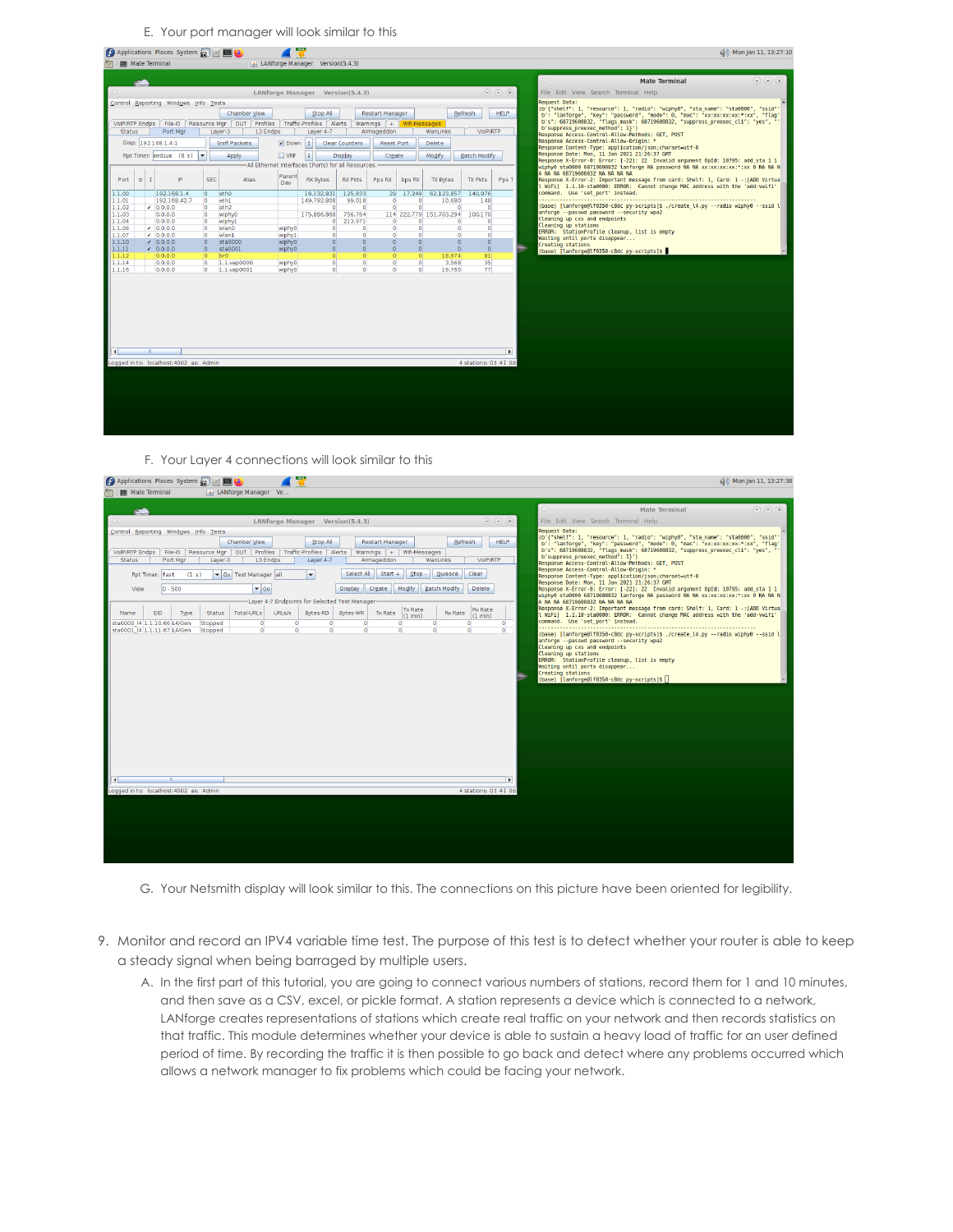E. Your port manager will look similar to this

|                     |           | <b>(5)</b> Applications Places System and <b>B</b> |                           |                               |                  |            |                                           |                                                    |                            |                      |                         |                      |                                | (b) Mon Jan 11, 13:27:10                                                                                                                                           |                 |
|---------------------|-----------|----------------------------------------------------|---------------------------|-------------------------------|------------------|------------|-------------------------------------------|----------------------------------------------------|----------------------------|----------------------|-------------------------|----------------------|--------------------------------|--------------------------------------------------------------------------------------------------------------------------------------------------------------------|-----------------|
|                     |           | <b>Mate Terminal</b>                               |                           |                               |                  |            | <b>E.</b> LANforge Manager Version(5.4.3) |                                                    |                            |                      |                         |                      |                                |                                                                                                                                                                    |                 |
|                     |           |                                                    |                           |                               |                  |            |                                           |                                                    |                            |                      |                         |                      |                                |                                                                                                                                                                    |                 |
|                     |           |                                                    |                           |                               |                  |            |                                           |                                                    |                            |                      |                         |                      |                                | <b>Mate Terminal</b>                                                                                                                                               | $\odot$ (a) (x) |
|                     |           |                                                    |                           |                               |                  |            |                                           | LANforge Manager Version(5,4,3)                    |                            |                      |                         |                      | $(\vee)$ $(\wedge)$ $(\times)$ | File Edit View Search Terminal Help                                                                                                                                |                 |
|                     |           | Control Reporting Windows Info Tests               |                           |                               |                  |            |                                           |                                                    |                            |                      |                         |                      |                                | <b>Request Data:</b>                                                                                                                                               |                 |
|                     |           |                                                    |                           | Chamber View                  |                  |            | Stop All                                  |                                                    | <b>Restart Manager</b>     |                      |                         | Refresh              | HELP.                          | (b'{"shelf": 1, "resource": 1, "radio": "wiphy0", "sta name": "sta0000", "ssid"'                                                                                   |                 |
| VoIP/RTP Endps      |           | File-IO                                            |                           | Resource Mar   DUT   Profiles |                  |            | Traffic-Profiles Alerts                   |                                                    | Warnings $+$ Wifi-Messages |                      |                         |                      |                                | b': "lanforge", "key": "password", "mode": 0, "mac": "xx:xx:xx:xx:*:xx", "flag'<br>b's": 68719608832, "flags mask": 68719608832, "suppress preexec cli": "yes", "  |                 |
| <b>Status</b>       |           | Port Mgr                                           |                           | Layer-3<br>L3 Endps           |                  |            | Layer 4-7                                 |                                                    | Armageddon                 |                      | WanLinks                | VoIP/RTP             |                                | b'suppress preexec method": 1}')                                                                                                                                   |                 |
|                     |           |                                                    |                           |                               |                  |            |                                           |                                                    |                            |                      |                         |                      |                                | Response Access-Control-Allow-Methods: GET, POST<br>Response Access-Control-Allow-Origin: *                                                                        |                 |
|                     |           | Disp: 192.168.1.4:1                                |                           | Sniff Packets                 |                  | $ V $ Down | <sub>1</sub>                              | <b>Clear Counters</b>                              | <b>Reset Port</b>          |                      | <b>Delete</b>           |                      |                                | Response Content-Type: application/json;charset=utf-8                                                                                                              |                 |
|                     |           | Rpt Timer: nediun (8 s) $\blacktriangledown$       |                           | Apply                         | <b>NRF</b>       |            | I                                         | Display                                            | Create                     |                      | Modify                  | <b>Batch Modify</b>  |                                | Response Date: Mon, 11 Jan 2021 21:26:37 GMT                                                                                                                       |                 |
|                     |           |                                                    |                           |                               |                  |            |                                           | All Ethernet Interfaces (Ports) for all Resources. |                            |                      |                         |                      |                                | Response X-Error-0: Error: [-22]: 22 Invalid argument OpId: 10795: add sta 1 1<br>wiphy0 sta0000 68719608832 lanforge NA password NA NA xx:xx:xx:xx:*:xx 0 NA NA N |                 |
|                     |           |                                                    |                           |                               |                  |            |                                           |                                                    |                            |                      |                         |                      |                                | A NA NA 68719608832 NA NA NA NA                                                                                                                                    |                 |
| Port                | $\circ$ I | IP.                                                | <b>SEC</b>                | Alias                         | Parent<br>Dev    |            | <b>RX Bytes</b>                           | <b>RX Pkts</b>                                     | Pps RX                     | bps RX               | <b>TX Bytes</b>         | <b>TX Pkts</b>       | Pps T                          | Response X-Error-2: Important message from card: Shelf: 1, Card: 1 -: [ADD Virtua]                                                                                 |                 |
|                     |           |                                                    |                           |                               |                  |            |                                           |                                                    |                            |                      |                         |                      |                                | L WiFi] 1.1.10-sta0000: ERROR: Cannot change MAC address with the 'add-vwifi'                                                                                      |                 |
| 1.1.00<br>1.1.01    |           | 192.168.1.4<br>192.168.42.7                        | $\overline{0}$<br>$\circ$ | eth <sub>0</sub><br>eth1      |                  |            | 16.132.831<br>149,792,808                 | 125.833<br>99.018                                  | 29<br>$\Omega$             | 17.249<br>$\Omega$   | 62,123,857<br>10,680    | 140.076<br>148       |                                | command. Use 'set port' instead.                                                                                                                                   |                 |
| 1.1.02              |           | $-0.0.0.0$                                         | lo.                       | eth <sub>2</sub>              |                  |            | $\bullet$                                 | $\Omega$                                           | $\Omega$                   | $\bullet$            | $\bullet$               | $\Omega$             |                                | base) [lanforqe@lf0350-c8dc py-scripts]\$ ./create l4.py --radio wiphy0 --ssid l                                                                                   |                 |
| 1.1.03              |           | 0.0.0.0                                            | $\circ$                   | wiphy0                        |                  |            | 175,866,868                               | 756,764                                            |                            |                      | 114 222.779 151.703.294 | 100,170              |                                | anforge --passwd password --security wpa2                                                                                                                          |                 |
| 1.1.04              |           | 0.0.0.0                                            | $\overline{0}$            | wiphy1                        |                  |            |                                           | $0$ 213,971                                        | $\Omega$                   | $\Omega$             | $\Omega$                | $\sqrt{2}$           |                                | Cleaning up cxs and endpoints<br>Cleaning up stations                                                                                                              |                 |
| 1.1.06              |           | $-0.0.0.0$                                         | $\overline{0}$            | wlan0                         | wiphy0           |            | $\overline{0}$                            | $\circ$                                            | $\circ$                    | $\circ$              | $\bullet$               | $\bullet$            |                                | ERROR: StationProfile cleanup, list is empty                                                                                                                       |                 |
| 1.1.07              |           | $-0.0.0.0$                                         | $\Omega$<br>$\Omega$      | wlan1                         | wiphyl           |            | $\bullet$<br>$\Omega$                     | $\Omega$<br>$\Omega$                               | $\Omega$<br>$\Omega$       | $\Omega$<br>$\Omega$ | $\Omega$<br>$\Omega$    | $\Omega$<br>$\Omega$ |                                | Waiting until ports disappear                                                                                                                                      |                 |
| 1.1.10<br>1.1.11    |           | $\sqrt{0.0.0.0}$<br>0.0.0.0                        | $\overline{0}$            | sta0000<br>sta0001            | wiphy0<br>wiphy0 |            | $\overline{0}$                            | $\Omega$                                           | $\Omega$                   | $\bullet$            | $\bullet$               | $\circ$              |                                | Creating stations                                                                                                                                                  |                 |
| 1.1.12              |           | 0.0.0.0                                            | lo.                       | bro                           |                  |            | $\Omega$                                  | $\Omega$                                           | $\Omega$                   | $\Omega$             | 18,974                  | 81                   |                                | (base) [lanforge@lf0350-c8dc py-scripts]\$                                                                                                                         |                 |
| 1.1.14              |           | 0.0.0.0                                            | $\overline{0}$            | 1.1.vap0000                   | wiphy0           |            | $\overline{0}$                            | $\circ$                                            | $\sigma$                   | $\circ$              | 3,568                   | 35                   |                                |                                                                                                                                                                    |                 |
| 1.1.16              |           | 0.0.0.0                                            |                           | $0 - 1.1$ . vap $0001$        | wiphy0           |            | $\bullet$                                 | $\bullet$                                          | $\Omega$                   | $\Omega$             | 19,760                  | 77                   |                                |                                                                                                                                                                    |                 |
|                     |           |                                                    |                           |                               |                  |            |                                           |                                                    |                            |                      |                         |                      |                                |                                                                                                                                                                    |                 |
|                     |           |                                                    |                           |                               |                  |            |                                           |                                                    |                            |                      |                         |                      |                                |                                                                                                                                                                    |                 |
|                     |           |                                                    |                           |                               |                  |            |                                           |                                                    |                            |                      |                         |                      |                                |                                                                                                                                                                    |                 |
|                     |           |                                                    |                           |                               |                  |            |                                           |                                                    |                            |                      |                         |                      |                                |                                                                                                                                                                    |                 |
| $\vert \cdot \vert$ |           |                                                    |                           |                               |                  |            |                                           |                                                    |                            |                      |                         |                      |                                |                                                                                                                                                                    |                 |
|                     |           | Logged in to: localhost: 4002 as: Admin            |                           |                               |                  |            |                                           |                                                    |                            |                      |                         | 4 stations: 01 41 00 |                                |                                                                                                                                                                    |                 |
|                     |           |                                                    |                           |                               |                  |            |                                           |                                                    |                            |                      |                         |                      |                                |                                                                                                                                                                    |                 |
|                     |           |                                                    |                           |                               |                  |            |                                           |                                                    |                            |                      |                         |                      |                                |                                                                                                                                                                    |                 |
|                     |           |                                                    |                           |                               |                  |            |                                           |                                                    |                            |                      |                         |                      |                                |                                                                                                                                                                    |                 |
|                     |           |                                                    |                           |                               |                  |            |                                           |                                                    |                            |                      |                         |                      |                                |                                                                                                                                                                    |                 |
|                     |           |                                                    |                           |                               |                  |            |                                           |                                                    |                            |                      |                         |                      |                                |                                                                                                                                                                    |                 |
|                     |           |                                                    |                           |                               |                  |            |                                           |                                                    |                            |                      |                         |                      |                                |                                                                                                                                                                    |                 |
|                     |           |                                                    |                           |                               |                  |            |                                           |                                                    |                            |                      |                         |                      |                                |                                                                                                                                                                    |                 |

## F. Your Layer 4 connections will look similar to this  $\sqrt{2}$

Applications Places System **All Bridge** 

```
(4) Mon Jan 11, 13:27:38
```

| 图 Mate Terminal<br>  ⑤ LANforge Manager Ve                                                                                                                                                                                                                       |                                                                                                                                                                                                                                                |                                                                                                                                                                                                                                                                                                                                                                                                                                                                                                                                                                                                                                                                                                                                                                                                   |                                                                                                                                                                                                                                                        |
|------------------------------------------------------------------------------------------------------------------------------------------------------------------------------------------------------------------------------------------------------------------|------------------------------------------------------------------------------------------------------------------------------------------------------------------------------------------------------------------------------------------------|---------------------------------------------------------------------------------------------------------------------------------------------------------------------------------------------------------------------------------------------------------------------------------------------------------------------------------------------------------------------------------------------------------------------------------------------------------------------------------------------------------------------------------------------------------------------------------------------------------------------------------------------------------------------------------------------------------------------------------------------------------------------------------------------------|--------------------------------------------------------------------------------------------------------------------------------------------------------------------------------------------------------------------------------------------------------|
|                                                                                                                                                                                                                                                                  |                                                                                                                                                                                                                                                |                                                                                                                                                                                                                                                                                                                                                                                                                                                                                                                                                                                                                                                                                                                                                                                                   | $\qquad \qquad \textcircled{r} \qquad \qquad \textcircled{r} \qquad \qquad \textcircled{r}$<br><b>Mate Terminal</b>                                                                                                                                    |
|                                                                                                                                                                                                                                                                  | LANforge Manager Version(5,4,3)                                                                                                                                                                                                                | $\qquad \qquad \textcircled{r} \qquad \qquad \textcircled{r} \qquad \qquad \textcircled{r}$                                                                                                                                                                                                                                                                                                                                                                                                                                                                                                                                                                                                                                                                                                       | File Edit View Search Terminal Help                                                                                                                                                                                                                    |
| Control Reporting Windows Info Tests                                                                                                                                                                                                                             |                                                                                                                                                                                                                                                |                                                                                                                                                                                                                                                                                                                                                                                                                                                                                                                                                                                                                                                                                                                                                                                                   | <b>Request Data:</b>                                                                                                                                                                                                                                   |
| Chamber View<br>File-IO   Resource Mar   DUT   Profiles   Traffic-Profiles   Alerts<br>VoIP/RTP Endps<br>Laver-3<br><b>Status</b><br>Port Mar<br>L3 Endos<br>Go Test Manager all<br>(1 s)<br>Rpt Timer: fast<br>$\overline{\phantom{a}}$ Go<br>$0 - 500$<br>View | <b>Restart Manager</b><br>Stop All<br>Warnings $+$ Wifi-Messages<br>Armageddon<br>Layer 4-7<br>Select All<br>$Start +$<br>$Stop -$<br>$\overline{\phantom{a}}$<br>Modify<br>Display<br>Create<br>Layer 4-7 Endpoints for Selected Test Manager | (b'{"shelf": 1, "resource": 1, "radio": "wiphy0", "sta name": "sta0000", "ssid"'<br>b': "lanforge", "key": "password", "mode": 0, "mac": "xx:xx:xx:xx:*:xx", "flag'<br>b's": 68719608832, "flags mask": 68719608832, "suppress preexec cli": "yes", "'<br>b'suppress preexec method": 1}')<br>Response Access-Control-Allow-Methods: GET, POST<br>Response Access-Control-Allow-Origin: *<br>Response Content-Type: application/json;charset=utf-8<br>Response Date: Mon, 11 Jan 2021 21:26:37 GMT<br>Response X-Error-0: Error: [-22]: 22 Invalid argument OpId: 10795: add sta 1 1<br>wiphy0 sta0000 68719608832 lanforge NA password NA NA xx:xx:xx:xx:*:xx 0 NA NA N<br>A NA NA 68719608832 NA NA NA NA<br>Response X-Error-2: Important message from card: Shelf: 1, Card: 1 -: [ADD Virtua] |                                                                                                                                                                                                                                                        |
| Total-URLs<br><b>EID</b><br><b>Status</b><br>Name<br>Type                                                                                                                                                                                                        | Tx Rate<br>URLs/s<br>Bytes-RD<br>Bytes-WR<br><b>Tx Rate</b><br>(1 min)                                                                                                                                                                         | <b>Rx Rate</b><br><b>Rx Rate</b><br>(1 min)                                                                                                                                                                                                                                                                                                                                                                                                                                                                                                                                                                                                                                                                                                                                                       | l W1F11 1.1.10-sta0000: ERROR: Cannot change MAC address with the 'add-vw1f1'                                                                                                                                                                          |
| sta0000 14 1.1.10.66 L4/Gen<br>Stopped<br>$\overline{0}$<br>Stopped<br>$\bullet$<br>sta0001 14 1.1.11.67 L4/Gen                                                                                                                                                  | $\circ$<br>$\circ$<br>$\Omega$<br>$\Omega$<br>$\circ$<br>$\bullet$<br>$\bullet$<br>$\bullet$                                                                                                                                                   | $\bullet$<br>$\bullet$<br>$\circ$<br>$\Omega$<br>$\Omega$<br>$\Omega$                                                                                                                                                                                                                                                                                                                                                                                                                                                                                                                                                                                                                                                                                                                             | command. Use 'set port' instead.                                                                                                                                                                                                                       |
|                                                                                                                                                                                                                                                                  |                                                                                                                                                                                                                                                |                                                                                                                                                                                                                                                                                                                                                                                                                                                                                                                                                                                                                                                                                                                                                                                                   | anforge --passwd password --security wpa2<br>Cleaning up cxs and endpoints<br>Cleaning up stations<br>ERROR: StationProfile cleanup, list is empty<br>Waiting until ports disappear<br>Creating stations<br>(base) [lanforge@lf0350-c8dc py-scripts]\$ |
| Logged in to: localhost: 4002 as: Admin                                                                                                                                                                                                                          |                                                                                                                                                                                                                                                | 4 stations: 01 41 00                                                                                                                                                                                                                                                                                                                                                                                                                                                                                                                                                                                                                                                                                                                                                                              |                                                                                                                                                                                                                                                        |
|                                                                                                                                                                                                                                                                  |                                                                                                                                                                                                                                                |                                                                                                                                                                                                                                                                                                                                                                                                                                                                                                                                                                                                                                                                                                                                                                                                   |                                                                                                                                                                                                                                                        |
|                                                                                                                                                                                                                                                                  |                                                                                                                                                                                                                                                |                                                                                                                                                                                                                                                                                                                                                                                                                                                                                                                                                                                                                                                                                                                                                                                                   |                                                                                                                                                                                                                                                        |

## G. Your Netsmith display will look similar to this. The connections on this picture have been oriented for legibility.

- 9. Monitor and record an IPV4 variable time test. The purpose of this test is to detect whether your router is able to keep a steady signal when being barraged by multiple users.
	- A. In the first part of this tutorial, you are going to connect various numbers of stations, record them for 1 and 10 minutes, and then save as a CSV, excel, or pickle format. A station represents a device which is connected to a network, LANforge creates representations of stations which create real traffic on your network and then records statistics on that traffic. This module determines whether your device is able to sustain a heavy load of traffic for an user defined period of time. By recording the traffic it is then possible to go back and detect where any problems occurred which allows a network manager to fix problems which could be facing your network.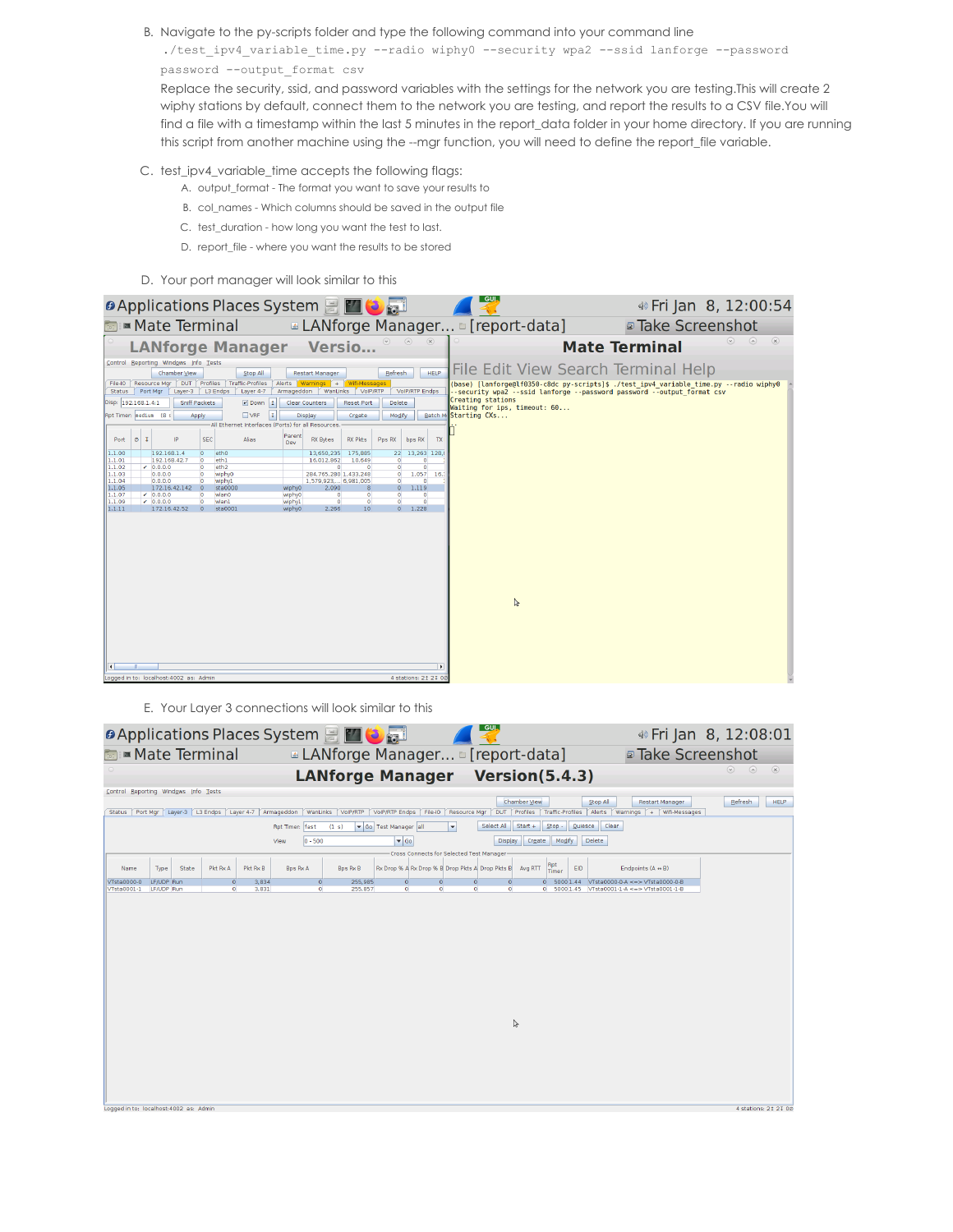B. Navigate to the py-scripts folder and type the following command into your command line

./test\_ipv4\_variable\_time.py --radio wiphy0 --security wpa2 --ssid lanforge --password password --output\_format csv

Replace the security, ssid, and password variables with the settings for the network you are testing.This will create 2 wiphy stations by default, connect them to the network you are testing, and report the results to a CSV file.You will find a file with a timestamp within the last 5 minutes in the report\_data folder in your home directory. If you are running this script from another machine using the --mgr function, you will need to define the report\_file variable.

- C. test\_ipv4\_variable\_time accepts the following flags:
	- A. output\_format The format you want to save your results to
	- B. col\_names Which columns should be saved in the output file
	- C. test\_duration how long you want the test to last.
	- D. report\_file where you want the results to be stored
- D. Your port manager will look similar to this

| LANforge Manager [report-data]<br><b>Mate Terminal</b><br><b>Take Screenshot</b><br>$\circledtimes$<br>$\circ$<br>$(\mathsf{x})$<br><b>LANforge Manager Versio</b><br><b>Mate Terminal</b><br>Control Reporting Windows Info Tests<br>File Edit View Search Terminal Help<br><b>HELP</b><br>Refresh<br><b>Chamber View</b><br>Stop All<br><b>Restart Manager</b><br>Profiles<br>Alerts Warnings + Wifi-Messages<br>Resource Mar<br>DUT  <br>Traffic-Profiles<br>File-IO<br>(base) [lanforge@lf0350-c8dc py-scripts]\$ ./test ipv4 variable time.py --radio wiphy0<br>Port Mar<br>WanLinks<br>VolP/RTP<br>Layer-3<br>L3 Endos<br>Layer 4-7<br>Armageddon<br><b>VolP/RTP Endps</b><br>--security wpa2 --ssid lanforge --password password --output format csv<br><b>Status</b><br>Creating stations<br>Disp: 192.168.1.4:1<br>Sniff Packets<br>Down<br>Clear Counters<br><b>Reset Port</b><br>Delete<br>Waiting for ips, timeout: 60 |
|------------------------------------------------------------------------------------------------------------------------------------------------------------------------------------------------------------------------------------------------------------------------------------------------------------------------------------------------------------------------------------------------------------------------------------------------------------------------------------------------------------------------------------------------------------------------------------------------------------------------------------------------------------------------------------------------------------------------------------------------------------------------------------------------------------------------------------------------------------------------------------------------------------------------------------|
|                                                                                                                                                                                                                                                                                                                                                                                                                                                                                                                                                                                                                                                                                                                                                                                                                                                                                                                                    |
|                                                                                                                                                                                                                                                                                                                                                                                                                                                                                                                                                                                                                                                                                                                                                                                                                                                                                                                                    |
| Rpt Timer: nediun (8 s<br>N<br>Batch M. Starting CXs<br>Display<br>Create<br>Modify<br>Apply<br>All Ethernet Interfaces (Ports) for all Resources.<br>Parent<br>$\circ$ I<br><b>SEC</b><br>IP.<br>Alias<br>Port<br><b>RX Bytes</b><br><b>RX Pkts</b><br>Pps RX<br>bps RX<br>TX<br>Dev<br>1.1.00<br>192,168,1.4<br>eth <sub>0</sub><br>13.650.235<br>175,885<br>22<br>13.263 128.0<br>lo.<br>1.1.01<br>192.168.42.7<br>$\circ$<br>eth1<br>16.012.862<br>10.649<br>$\bullet$<br>$\bullet$<br>$\overline{O}$<br>$\overline{0}$<br>1.1.02<br>$-0.0.0.0$<br>eth <sub>2</sub><br>$\circ$<br>$\circ$<br>1.1.03<br>0.0.0.0<br>wiphy0<br>284.765.280 1.433.248<br>$\bullet$<br>1.057<br>16.<br>$\circ$<br>1.1.04<br>0.0.0.0<br>wiphy1<br>1,579,923, 6,981,005<br>$\circ$<br>$\Omega$<br>$\circ$<br>1.1.05<br>172.16.42.142 0<br>2,090<br>1,119<br>$\mathbb{R}$<br>$\Omega$                                                                  |
| sta0000<br>wiphy0<br>1.1.07<br>$-0.0.0.0$<br>$\bullet$<br>$\circ$<br>$\Omega$<br>wlan0<br>wiphy0<br>$\Omega$<br>$\Omega$<br>$\overline{0}$<br>$\overline{0}$<br> 1.1.09<br>$-0.0.0.0$<br>$\Omega$<br>$\Omega$<br>$\circ$<br>wlan1<br>wiphy1<br>11.1.11<br>172.16.42.52<br>2.266<br>10 <sup>°</sup><br>$\circ$<br>1.228<br>$\Omega$<br>sta0001<br>wiphy0<br>$\mathbb{R}$<br>٠<br>Logged in to: localhost: 4002 as: Admin<br>4 stations: 21 21 00                                                                                                                                                                                                                                                                                                                                                                                                                                                                                    |

### E. Your Layer 3 connections will look similar to this

|                                          |                          |       |                                |                   |                             | <b>D</b> Applications Places System 日 四 <mark>も</mark> 司 |                                                             |                                          |                          | <u>__GUI_</u> |                          |                          |         |                                                                              | 4) Fri Jan 8, 12:08:01    |                |
|------------------------------------------|--------------------------|-------|--------------------------------|-------------------|-----------------------------|----------------------------------------------------------|-------------------------------------------------------------|------------------------------------------|--------------------------|---------------|--------------------------|--------------------------|---------|------------------------------------------------------------------------------|---------------------------|----------------|
|                                          |                          |       | <b>Mate Terminal</b>           |                   |                             | <b>ALANforge Manager</b> [report-data]                   |                                                             |                                          |                          |               |                          |                          |         | <b>Take Screenshot</b>                                                       |                           |                |
|                                          |                          |       |                                |                   |                             | <b>LANforge Manager Version(5.4.3)</b>                   |                                                             |                                          |                          |               |                          |                          |         |                                                                              | $\odot$<br>$\circledcirc$ | $\circledcirc$ |
| Control Reporting Windows Info Tests     |                          |       |                                |                   |                             |                                                          |                                                             |                                          |                          |               |                          |                          |         |                                                                              |                           |                |
| Port Mar<br><b>Status</b>                |                          |       | Layer-3   L3 Endps   Layer 4-7 |                   | Armageddon<br>WanLinks      | VolP/RTP                                                 | VolP/RTP Endps                                              |                                          | File-IO   Resource Mar   | <b>DUT</b>    | Chamber View<br>Profiles | Traffic-Profiles         |         | Stop All<br><b>Restart Manager</b><br>Alerts<br>Warnings   +   Wifi-Messages | Refresh                   | <b>HELP</b>    |
|                                          |                          |       |                                |                   | Rpt Timer: fast             | (1 s)                                                    | Go Test Manager all                                         |                                          | $\overline{\phantom{a}}$ | Select All    | $Start +$                | $Stop -$                 | Quiesce | Clear                                                                        |                           |                |
|                                          |                          |       |                                |                   | $0 - 500$<br>View           |                                                          | $\bullet$ Go                                                |                                          |                          | Display       | Create                   | Modify                   |         | Delete                                                                       |                           |                |
|                                          |                          |       |                                |                   |                             |                                                          |                                                             | Cross Connects for Selected Test Manager |                          |               |                          |                          |         |                                                                              |                           |                |
| Name                                     | Type                     | State | Pkt Rx A<br>$\Omega$           | Pkt Rx B<br>3.834 | <b>Bps Rx A</b><br>$\Omega$ | <b>Bps Rx B</b><br>255.985                               | Rx Drop % A Rx Drop % B Drop Pkts A Drop Pkts B<br>$\Omega$ | $\Omega$                                 |                          | $\Omega$      | Avg RTT                  | Rpt<br>Timer<br>50001.44 | EID     | Endpoints (A e B)<br>VTsta0000-0-A <=> VTsta0000-0-8                         |                           |                |
| VTsta0000-0<br>VTsta0001-1               | LF/UDP Run<br>LF/UDP Run |       | $\Omega$                       | 3,831             | $\Omega$                    | 255.857                                                  | $\Omega$                                                    | $\Omega$                                 | $\circ$<br>$\bullet$     | $\bullet$     | $\circ$<br>$\circ$       | 50001.45                 |         | VTsta0001-1-A <=> VTsta0001-1-8                                              |                           |                |
|                                          |                          |       |                                |                   |                             |                                                          |                                                             |                                          |                          |               |                          |                          |         |                                                                              |                           |                |
|                                          |                          |       |                                |                   |                             |                                                          |                                                             |                                          |                          |               |                          |                          |         |                                                                              |                           |                |
|                                          |                          |       |                                |                   |                             |                                                          |                                                             |                                          |                          |               |                          |                          |         |                                                                              |                           |                |
|                                          |                          |       |                                |                   |                             |                                                          |                                                             |                                          |                          |               |                          |                          |         |                                                                              |                           |                |
|                                          |                          |       |                                |                   |                             |                                                          |                                                             |                                          |                          |               |                          |                          |         |                                                                              |                           |                |
|                                          |                          |       |                                |                   |                             |                                                          |                                                             |                                          |                          |               |                          |                          |         |                                                                              |                           |                |
|                                          |                          |       |                                |                   |                             |                                                          |                                                             |                                          |                          |               |                          |                          |         |                                                                              |                           |                |
|                                          |                          |       |                                |                   |                             |                                                          |                                                             |                                          |                          |               | B                        |                          |         |                                                                              |                           |                |
|                                          |                          |       |                                |                   |                             |                                                          |                                                             |                                          |                          |               |                          |                          |         |                                                                              |                           |                |
|                                          |                          |       |                                |                   |                             |                                                          |                                                             |                                          |                          |               |                          |                          |         |                                                                              |                           |                |
|                                          |                          |       |                                |                   |                             |                                                          |                                                             |                                          |                          |               |                          |                          |         |                                                                              |                           |                |
|                                          |                          |       |                                |                   |                             |                                                          |                                                             |                                          |                          |               |                          |                          |         |                                                                              |                           |                |
|                                          |                          |       |                                |                   |                             |                                                          |                                                             |                                          |                          |               |                          |                          |         |                                                                              |                           |                |
| Logged in to: localhost: 4002 as: Admin. |                          |       |                                |                   |                             |                                                          |                                                             |                                          |                          |               |                          |                          |         |                                                                              | 4 stations: 21 21 00      |                |